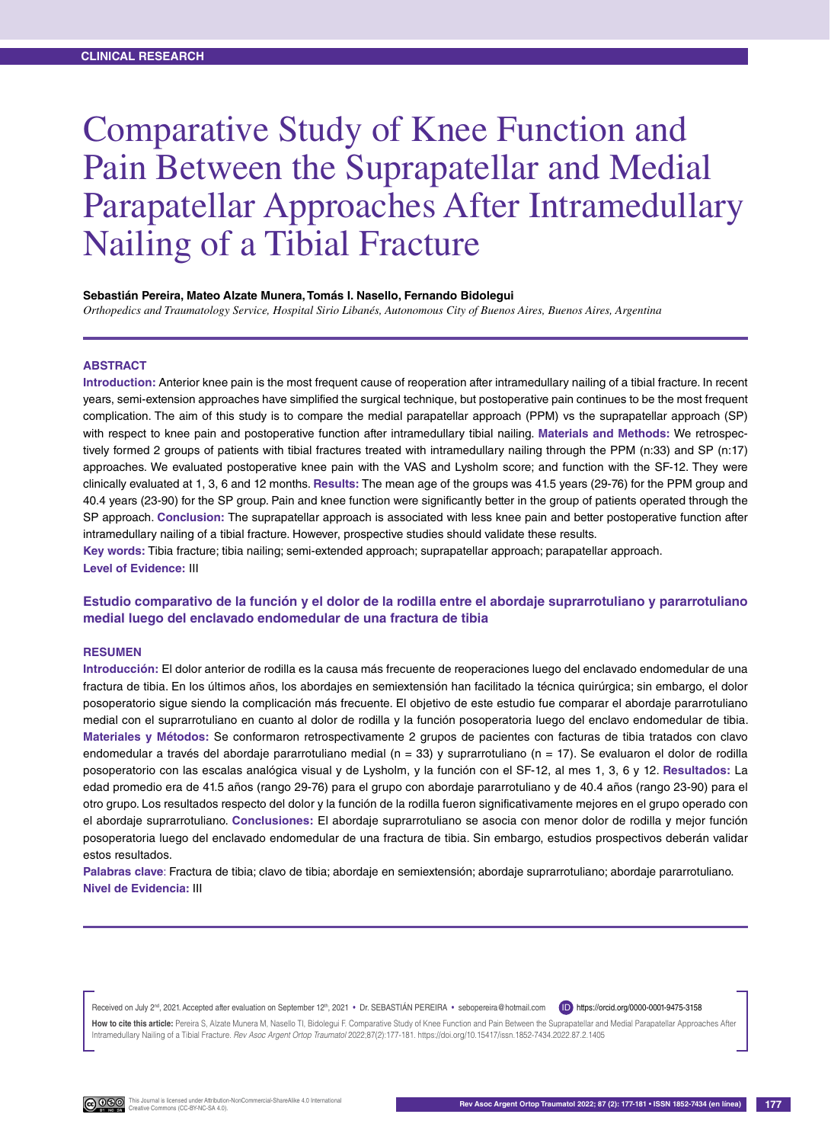# Comparative Study of Knee Function and Pain Between the Suprapatellar and Medial Parapatellar Approaches After Intramedullary Nailing of a Tibial Fracture

#### **Sebastián Pereira, Mateo Alzate Munera, Tomás I. Nasello, Fernando Bidolegui**

*Orthopedics and Traumatology Service, Hospital Sirio Libanés, Autonomous City of Buenos Aires, Buenos Aires, Argentina*

#### **Abstract**

**Introduction:** Anterior knee pain is the most frequent cause of reoperation after intramedullary nailing of a tibial fracture. In recent years, semi-extension approaches have simplified the surgical technique, but postoperative pain continues to be the most frequent complication. The aim of this study is to compare the medial parapatellar approach (PPM) vs the suprapatellar approach (SP) with respect to knee pain and postoperative function after intramedullary tibial nailing. **Materials and Methods:** We retrospectively formed 2 groups of patients with tibial fractures treated with intramedullary nailing through the PPM (n:33) and SP (n:17) approaches. We evaluated postoperative knee pain with the VAS and Lysholm score; and function with the SF-12. They were clinically evaluated at 1, 3, 6 and 12 months. **Results:** The mean age of the groups was 41.5 years (29-76) for the PPM group and 40.4 years (23-90) for the SP group. Pain and knee function were significantly better in the group of patients operated through the SP approach. **Conclusion:** The suprapatellar approach is associated with less knee pain and better postoperative function after intramedullary nailing of a tibial fracture. However, prospective studies should validate these results.

**Key words:** Tibia fracture; tibia nailing; semi-extended approach; suprapatellar approach; parapatellar approach. **Level of Evidence:** III

#### **Estudio comparativo de la función y el dolor de la rodilla entre el abordaje suprarrotuliano y pararrotuliano medial luego del enclavado endomedular de una fractura de tibia**

#### **Resumen**

**Introducción:** El dolor anterior de rodilla es la causa más frecuente de reoperaciones luego del enclavado endomedular de una fractura de tibia. En los últimos años, los abordajes en semiextensión han facilitado la técnica quirúrgica; sin embargo, el dolor posoperatorio sigue siendo la complicación más frecuente. El objetivo de este estudio fue comparar el abordaje pararrotuliano medial con el suprarrotuliano en cuanto al dolor de rodilla y la función posoperatoria luego del enclavo endomedular de tibia. **Materiales y Métodos:** Se conformaron retrospectivamente 2 grupos de pacientes con facturas de tibia tratados con clavo endomedular a través del abordaje pararrotuliano medial (n = 33) y suprarrotuliano (n = 17). Se evaluaron el dolor de rodilla posoperatorio con las escalas analógica visual y de Lysholm, y la función con el SF-12, al mes 1, 3, 6 y 12. **Resultados:** La edad promedio era de 41.5 años (rango 29-76) para el grupo con abordaje pararrotuliano y de 40.4 años (rango 23-90) para el otro grupo. Los resultados respecto del dolor y la función de la rodilla fueron significativamente mejores en el grupo operado con el abordaje suprarrotuliano. **Conclusiones:** El abordaje suprarrotuliano se asocia con menor dolor de rodilla y mejor función posoperatoria luego del enclavado endomedular de una fractura de tibia. Sin embargo, estudios prospectivos deberán validar estos resultados.

**Palabras clave**: Fractura de tibia; clavo de tibia; abordaje en semiextensión; abordaje suprarrotuliano; abordaje pararrotuliano. **Nivel de Evidencia:** III

Received on July 2<sup>nd</sup>, 2021. Accepted after evaluation on September 12th, 2021 • Dr. SEBASTIÁN PEREIRA • sebopereira@hotmail.com ID https://orcid.org/0000-0001-9475-3158

How to cite this article: Pereira S, Alzate Munera M, Nasello TI, Bidolegui F. Comparative Study of Knee Function and Pain Between the Suprapatellar and Medial Parapatellar Approaches After Intramedullary Nailing of a Tibial Fracture. *Rev Asoc Argent Ortop Traumatol* 2022;87(2):177-181. https://doi.org/10.15417/issn.1852-7434.2022.87.2.1405

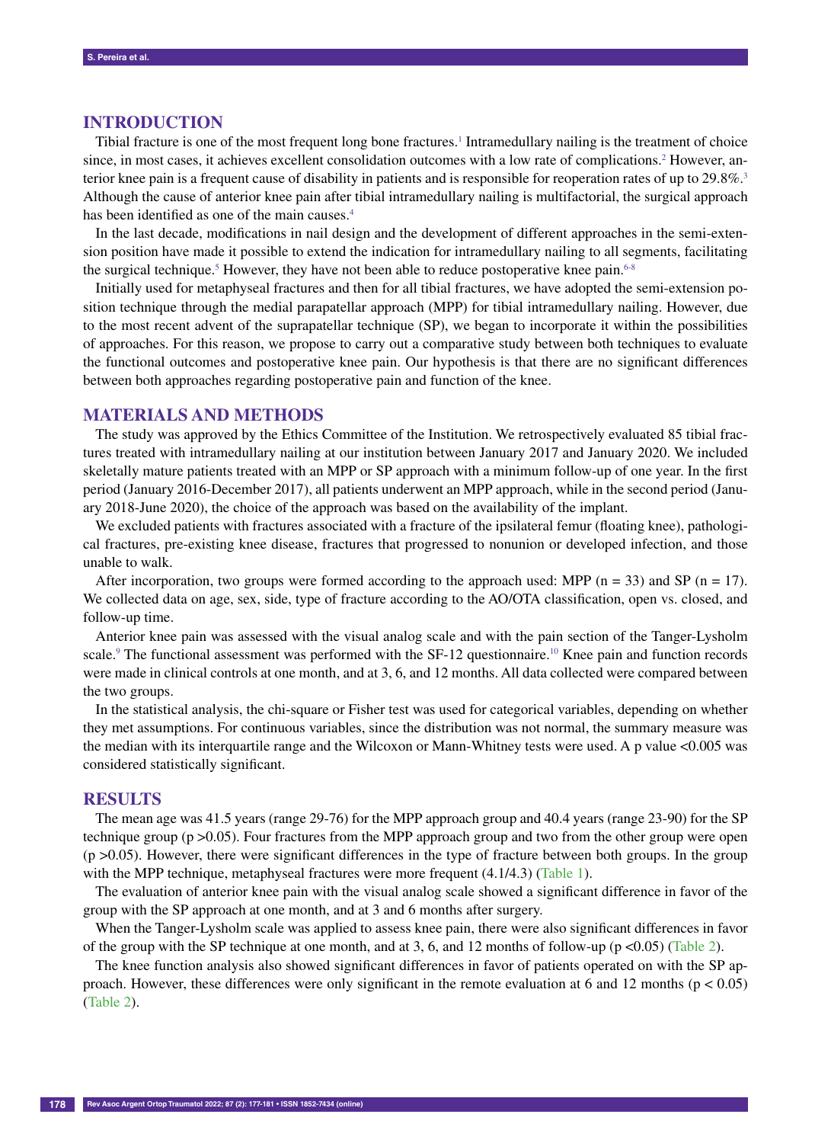# **INTRODUCTION**

Tibial fracture is one of the most frequent long bone fractures.<sup>1</sup> Intramedullary nailing is the treatment of choice since, in most cases, it achieves excellent consolidation outcomes with a low rate of complications.<sup>2</sup> However, anterior knee pain is a frequent cause of disability in patients and is responsible for reoperation rates of up to 29.8%.<sup>3</sup> Although the cause of anterior knee pain after tibial intramedullary nailing is multifactorial, the surgical approach has been identified as one of the main causes.<sup>4</sup>

In the last decade, modifications in nail design and the development of different approaches in the semi-extension position have made it possible to extend the indication for intramedullary nailing to all segments, facilitating the surgical technique.<sup>5</sup> However, they have not been able to reduce postoperative knee pain.<sup>6-8</sup>

Initially used for metaphyseal fractures and then for all tibial fractures, we have adopted the semi-extension position technique through the medial parapatellar approach (MPP) for tibial intramedullary nailing. However, due to the most recent advent of the suprapatellar technique (SP), we began to incorporate it within the possibilities of approaches. For this reason, we propose to carry out a comparative study between both techniques to evaluate the functional outcomes and postoperative knee pain. Our hypothesis is that there are no significant differences between both approaches regarding postoperative pain and function of the knee.

## **MATERIALS AND METHODS**

The study was approved by the Ethics Committee of the Institution. We retrospectively evaluated 85 tibial fractures treated with intramedullary nailing at our institution between January 2017 and January 2020. We included skeletally mature patients treated with an MPP or SP approach with a minimum follow-up of one year. In the first period (January 2016-December 2017), all patients underwent an MPP approach, while in the second period (January 2018-June 2020), the choice of the approach was based on the availability of the implant.

We excluded patients with fractures associated with a fracture of the ipsilateral femur (floating knee), pathological fractures, pre-existing knee disease, fractures that progressed to nonunion or developed infection, and those unable to walk.

After incorporation, two groups were formed according to the approach used: MPP ( $n = 33$ ) and SP ( $n = 17$ ). We collected data on age, sex, side, type of fracture according to the AO/OTA classification, open vs. closed, and follow-up time.

Anterior knee pain was assessed with the visual analog scale and with the pain section of the Tanger-Lysholm scale.<sup>9</sup> The functional assessment was performed with the SF-12 questionnaire.<sup>10</sup> Knee pain and function records were made in clinical controls at one month, and at 3, 6, and 12 months. All data collected were compared between the two groups.

In the statistical analysis, the chi-square or Fisher test was used for categorical variables, depending on whether they met assumptions. For continuous variables, since the distribution was not normal, the summary measure was the median with its interquartile range and the Wilcoxon or Mann-Whitney tests were used. A p value <0.005 was considered statistically significant.

#### **RESULTS**

The mean age was 41.5 years (range 29-76) for the MPP approach group and 40.4 years (range 23-90) for the SP technique group (p >0.05). Four fractures from the MPP approach group and two from the other group were open (p >0.05). However, there were significant differences in the type of fracture between both groups. In the group with the MPP technique, metaphyseal fractures were more frequent  $(4.1/4.3)$  (Table 1).

The evaluation of anterior knee pain with the visual analog scale showed a significant difference in favor of the group with the SP approach at one month, and at 3 and 6 months after surgery.

When the Tanger-Lysholm scale was applied to assess knee pain, there were also significant differences in favor of the group with the SP technique at one month, and at 3, 6, and 12 months of follow-up ( $p < 0.05$ ) (Table 2).

The knee function analysis also showed significant differences in favor of patients operated on with the SP approach. However, these differences were only significant in the remote evaluation at 6 and 12 months ( $p < 0.05$ ) (Table 2).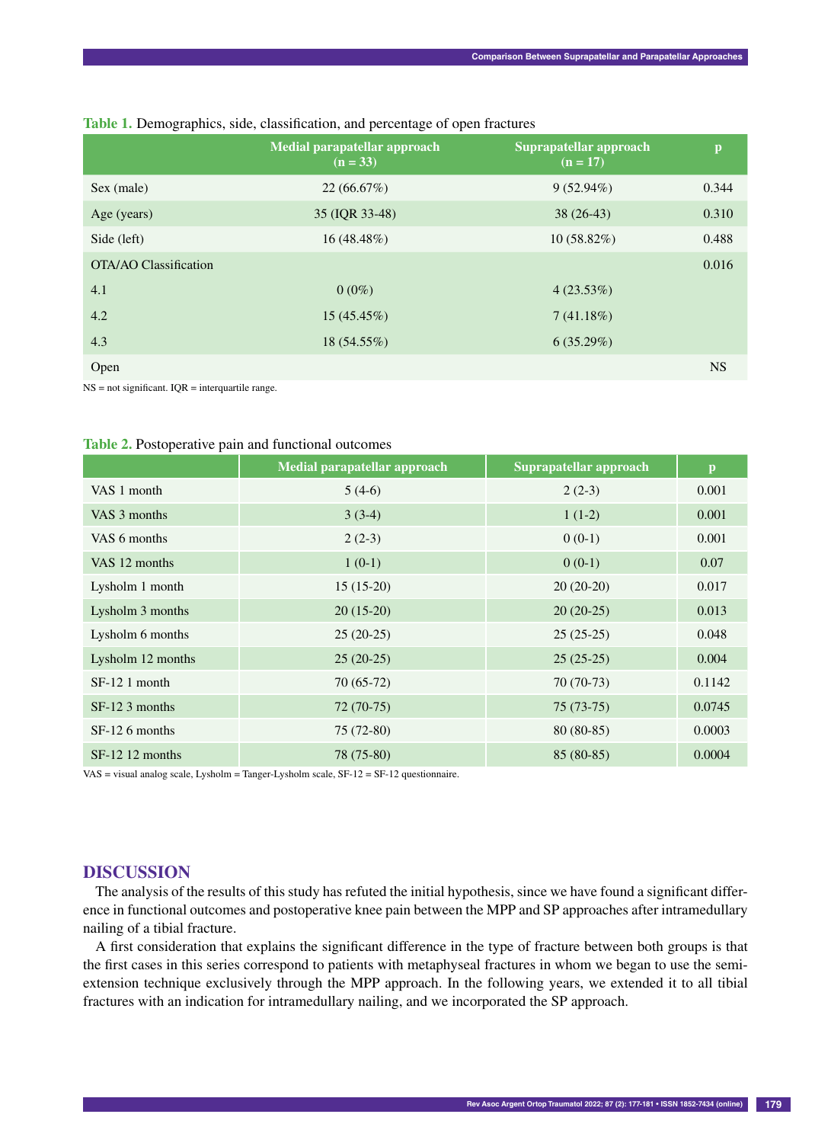|                              | Medial parapatellar approach<br>$(n = 33)$ | Suprapatellar approach<br>$(n = 17)$ | p         |
|------------------------------|--------------------------------------------|--------------------------------------|-----------|
| Sex (male)                   | 22(66.67%)                                 | $9(52.94\%)$                         | 0.344     |
| Age (years)                  | 35 (IQR 33-48)                             | $38(26-43)$                          | 0.310     |
| Side (left)                  | $16(48.48\%)$                              | $10(58.82\%)$                        | 0.488     |
| <b>OTA/AO Classification</b> |                                            |                                      | 0.016     |
| 4.1                          | $0(0\%)$                                   | 4(23.53%)                            |           |
| 4.2                          | $15(45.45\%)$                              | 7(41.18%)                            |           |
| 4.3                          | $18(54.55\%)$                              | 6(35.29%)                            |           |
| Open                         |                                            |                                      | <b>NS</b> |

## **Table 1.** Demographics, side, classification, and percentage of open fractures

 $NS = not significant. IQR = interquartile range.$ 

|                   | Medial parapatellar approach | Suprapatellar approach | $\mathbf{p}$ |
|-------------------|------------------------------|------------------------|--------------|
| VAS 1 month       | $5(4-6)$                     | $2(2-3)$               | 0.001        |
| VAS 3 months      | $3(3-4)$                     | $1(1-2)$               | 0.001        |
| VAS 6 months      | $2(2-3)$                     | $0(0-1)$               | 0.001        |
| VAS 12 months     | $1(0-1)$                     | $0(0-1)$               | 0.07         |
| Lysholm 1 month   | $15(15-20)$                  | $20(20-20)$            | 0.017        |
| Lysholm 3 months  | $20(15-20)$                  | $20(20-25)$            | 0.013        |
| Lysholm 6 months  | $25(20-25)$                  | $25(25-25)$            | 0.048        |
| Lysholm 12 months | $25(20-25)$                  | $25(25-25)$            | 0.004        |
| $SF-121$ month    | $70(65-72)$                  | $70(70-73)$            | 0.1142       |
| $SF-12.3$ months  | $72(70-75)$                  | $75(73-75)$            | 0.0745       |
| $SF-126$ months   | $75(72-80)$                  | $80(80-85)$            | 0.0003       |
| $SF-12$ 12 months | 78 (75-80)                   | $85(80-85)$            | 0.0004       |

#### **Table 2.** Postoperative pain and functional outcomes

VAS = visual analog scale, Lysholm = Tanger-Lysholm scale,  $SF-12 = SF-12$  questionnaire.

# **DISCUSSION**

The analysis of the results of this study has refuted the initial hypothesis, since we have found a significant difference in functional outcomes and postoperative knee pain between the MPP and SP approaches after intramedullary nailing of a tibial fracture.

A first consideration that explains the significant difference in the type of fracture between both groups is that the first cases in this series correspond to patients with metaphyseal fractures in whom we began to use the semiextension technique exclusively through the MPP approach. In the following years, we extended it to all tibial fractures with an indication for intramedullary nailing, and we incorporated the SP approach.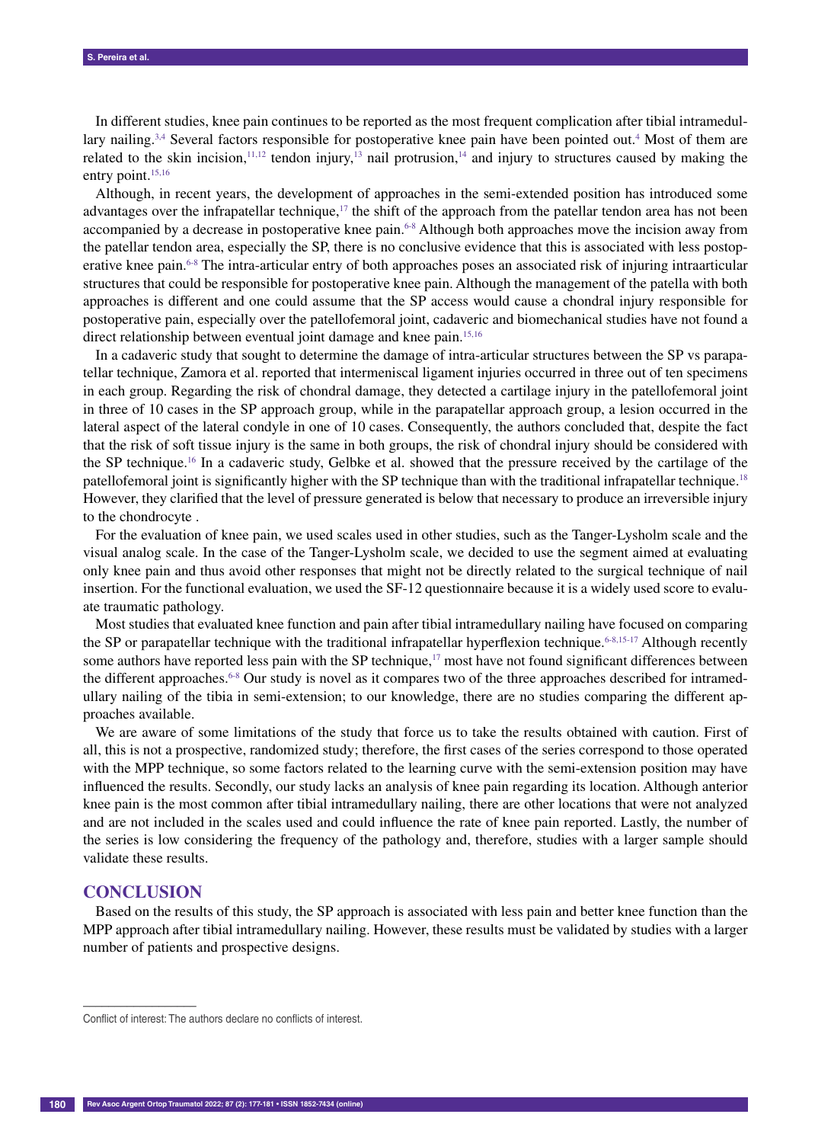In different studies, knee pain continues to be reported as the most frequent complication after tibial intramedullary nailing.<sup>3,4</sup> Several factors responsible for postoperative knee pain have been pointed out.<sup>4</sup> Most of them are related to the skin incision,<sup>11,12</sup> tendon injury,<sup>13</sup> nail protrusion,<sup>14</sup> and injury to structures caused by making the entry point.<sup>15,16</sup>

Although, in recent years, the development of approaches in the semi-extended position has introduced some advantages over the infrapatellar technique,<sup>17</sup> the shift of the approach from the patellar tendon area has not been accompanied by a decrease in postoperative knee pain.<sup>6-8</sup> Although both approaches move the incision away from the patellar tendon area, especially the SP, there is no conclusive evidence that this is associated with less postoperative knee pain.6-8 The intra-articular entry of both approaches poses an associated risk of injuring intraarticular structures that could be responsible for postoperative knee pain. Although the management of the patella with both approaches is different and one could assume that the SP access would cause a chondral injury responsible for postoperative pain, especially over the patellofemoral joint, cadaveric and biomechanical studies have not found a direct relationship between eventual joint damage and knee pain.<sup>15,16</sup>

In a cadaveric study that sought to determine the damage of intra-articular structures between the SP vs parapatellar technique, Zamora et al. reported that intermeniscal ligament injuries occurred in three out of ten specimens in each group. Regarding the risk of chondral damage, they detected a cartilage injury in the patellofemoral joint in three of 10 cases in the SP approach group, while in the parapatellar approach group, a lesion occurred in the lateral aspect of the lateral condyle in one of 10 cases. Consequently, the authors concluded that, despite the fact that the risk of soft tissue injury is the same in both groups, the risk of chondral injury should be considered with the SP technique.16 In a cadaveric study, Gelbke et al. showed that the pressure received by the cartilage of the patellofemoral joint is significantly higher with the SP technique than with the traditional infrapatellar technique.<sup>18</sup> However, they clarified that the level of pressure generated is below that necessary to produce an irreversible injury to the chondrocyte .

For the evaluation of knee pain, we used scales used in other studies, such as the Tanger-Lysholm scale and the visual analog scale. In the case of the Tanger-Lysholm scale, we decided to use the segment aimed at evaluating only knee pain and thus avoid other responses that might not be directly related to the surgical technique of nail insertion. For the functional evaluation, we used the SF-12 questionnaire because it is a widely used score to evaluate traumatic pathology.

Most studies that evaluated knee function and pain after tibial intramedullary nailing have focused on comparing the SP or parapatellar technique with the traditional infrapatellar hyperflexion technique.<sup>6-8,15-17</sup> Although recently some authors have reported less pain with the SP technique, $17 \text{ most have not found significant differences between}$ the different approaches.<sup>6-8</sup> Our study is novel as it compares two of the three approaches described for intramedullary nailing of the tibia in semi-extension; to our knowledge, there are no studies comparing the different approaches available.

We are aware of some limitations of the study that force us to take the results obtained with caution. First of all, this is not a prospective, randomized study; therefore, the first cases of the series correspond to those operated with the MPP technique, so some factors related to the learning curve with the semi-extension position may have influenced the results. Secondly, our study lacks an analysis of knee pain regarding its location. Although anterior knee pain is the most common after tibial intramedullary nailing, there are other locations that were not analyzed and are not included in the scales used and could influence the rate of knee pain reported. Lastly, the number of the series is low considering the frequency of the pathology and, therefore, studies with a larger sample should validate these results.

#### **CONCLUSION**

––––––––––––––––––

Based on the results of this study, the SP approach is associated with less pain and better knee function than the MPP approach after tibial intramedullary nailing. However, these results must be validated by studies with a larger number of patients and prospective designs.

Conflict of interest: The authors declare no conflicts of interest.